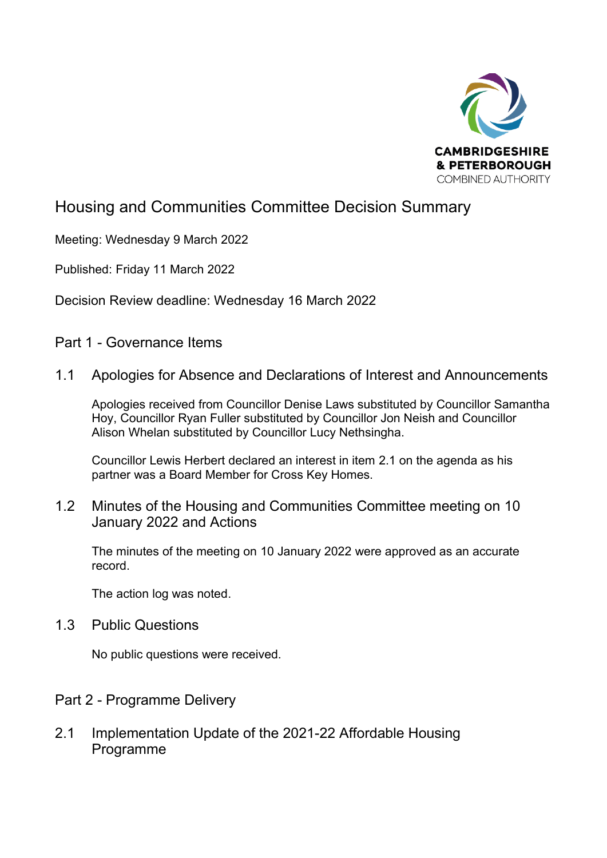

# Housing and Communities Committee Decision Summary

Meeting: Wednesday 9 March 2022

Published: Friday 11 March 2022

Decision Review deadline: Wednesday 16 March 2022

Part 1 - Governance Items

## 1.1 Apologies for Absence and Declarations of Interest and Announcements

Apologies received from Councillor Denise Laws substituted by Councillor Samantha Hoy, Councillor Ryan Fuller substituted by Councillor Jon Neish and Councillor Alison Whelan substituted by Councillor Lucy Nethsingha.

Councillor Lewis Herbert declared an interest in item 2.1 on the agenda as his partner was a Board Member for Cross Key Homes.

## 1.2 Minutes of the Housing and Communities Committee meeting on 10 January 2022 and Actions

The minutes of the meeting on 10 January 2022 were approved as an accurate record.

The action log was noted.

1.3 Public Questions

No public questions were received.

## Part 2 - Programme Delivery

2.1 Implementation Update of the 2021-22 Affordable Housing **Programme**